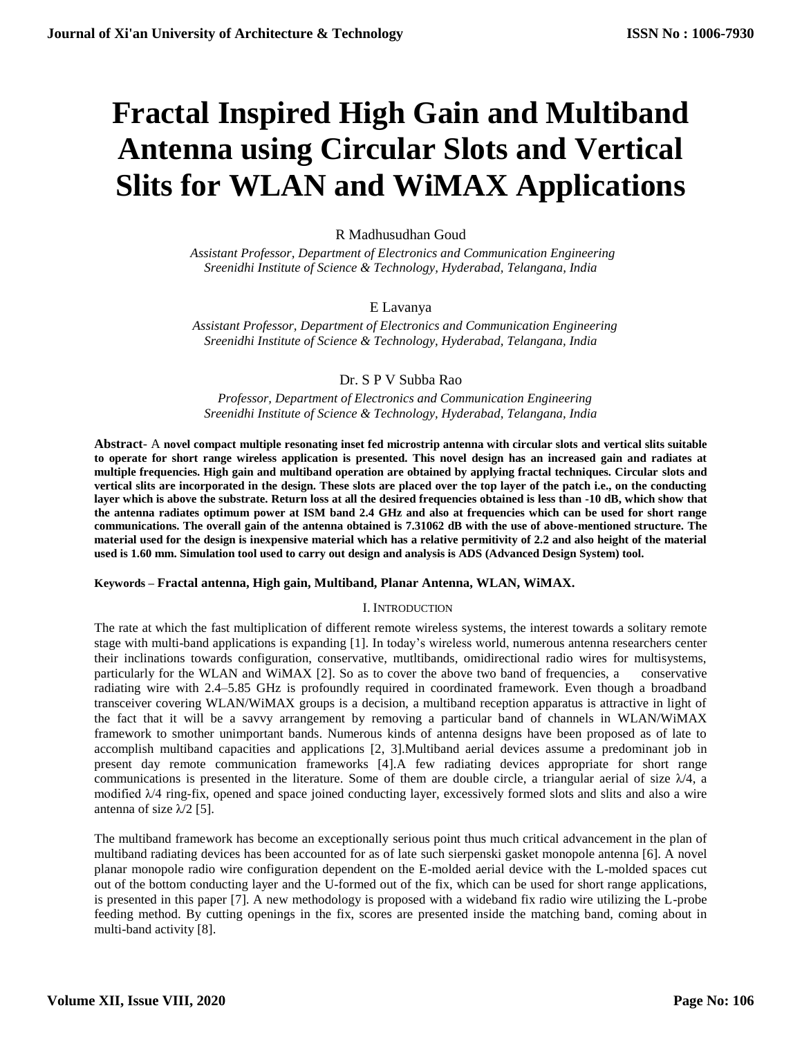# **Fractal Inspired High Gain and Multiband Antenna using Circular Slots and Vertical Slits for WLAN and WiMAX Applications**

# R Madhusudhan Goud

 *Assistant Professor, Department of Electronics and Communication Engineering Sreenidhi Institute of Science & Technology, Hyderabad, Telangana, India*

# E Lavanya

 *Assistant Professor, Department of Electronics and Communication Engineering Sreenidhi Institute of Science & Technology, Hyderabad, Telangana, India*

## Dr. S P V Subba Rao

 *Professor, Department of Electronics and Communication Engineering Sreenidhi Institute of Science & Technology, Hyderabad, Telangana, India*

**Abstract**- A **novel compact multiple resonating inset fed microstrip antenna with circular slots and vertical slits suitable to operate for short range wireless application is presented. This novel design has an increased gain and radiates at multiple frequencies. High gain and multiband operation are obtained by applying fractal techniques. Circular slots and vertical slits are incorporated in the design. These slots are placed over the top layer of the patch i.e., on the conducting layer which is above the substrate. Return loss at all the desired frequencies obtained is less than -10 dB, which show that the antenna radiates optimum power at ISM band 2.4 GHz and also at frequencies which can be used for short range communications. The overall gain of the antenna obtained is 7.31062 dB with the use of above-mentioned structure. The material used for the design is inexpensive material which has a relative permitivity of 2.2 and also height of the material used is 1.60 mm. Simulation tool used to carry out design and analysis is ADS (Advanced Design System) tool.**

## **Keywords – Fractal antenna, High gain, Multiband, Planar Antenna, WLAN, WiMAX.**

## I. INTRODUCTION

The rate at which the fast multiplication of different remote wireless systems, the interest towards a solitary remote stage with multi-band applications is expanding [1]. In today's wireless world, numerous antenna researchers center their inclinations towards configuration, conservative, mutltibands, omidirectional radio wires for multisystems, particularly for the WLAN and WiMAX [2]. So as to cover the above two band of frequencies, a conservative radiating wire with 2.4–5.85 GHz is profoundly required in coordinated framework. Even though a broadband transceiver covering WLAN/WiMAX groups is a decision, a multiband reception apparatus is attractive in light of the fact that it will be a savvy arrangement by removing a particular band of channels in WLAN/WiMAX framework to smother unimportant bands. Numerous kinds of antenna designs have been proposed as of late to accomplish multiband capacities and applications [2, 3].Multiband aerial devices assume a predominant job in present day remote communication frameworks [4].A few radiating devices appropriate for short range communications is presented in the literature. Some of them are double circle, a triangular aerial of size  $\lambda/4$ , a modified  $\lambda/4$  ring-fix, opened and space joined conducting layer, excessively formed slots and slits and also a wire antenna of size  $\lambda/2$  [5].

The multiband framework has become an exceptionally serious point thus much critical advancement in the plan of multiband radiating devices has been accounted for as of late such sierpenski gasket monopole antenna [6]. A novel planar monopole radio wire configuration dependent on the E-molded aerial device with the L-molded spaces cut out of the bottom conducting layer and the U-formed out of the fix, which can be used for short range applications, is presented in this paper [7]. A new methodology is proposed with a wideband fix radio wire utilizing the L-probe feeding method. By cutting openings in the fix, scores are presented inside the matching band, coming about in multi-band activity [8].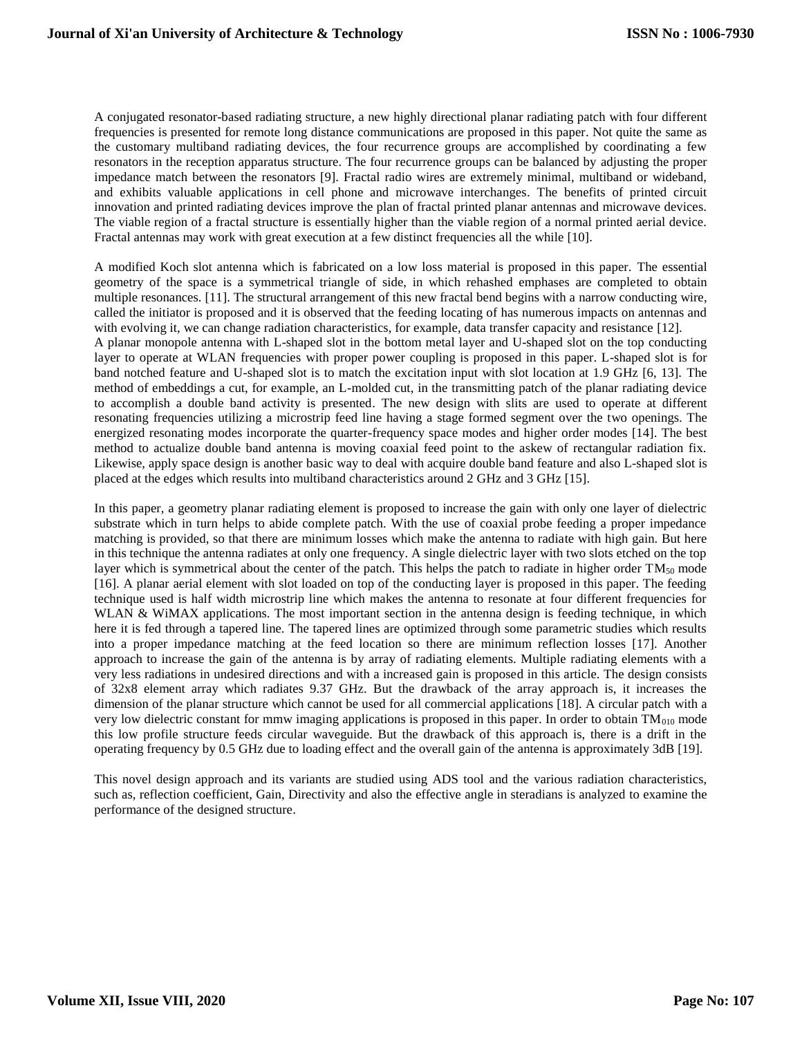A conjugated resonator-based radiating structure, a new highly directional planar radiating patch with four different frequencies is presented for remote long distance communications are proposed in this paper. Not quite the same as the customary multiband radiating devices, the four recurrence groups are accomplished by coordinating a few resonators in the reception apparatus structure. The four recurrence groups can be balanced by adjusting the proper impedance match between the resonators [9]. Fractal radio wires are extremely minimal, multiband or wideband, and exhibits valuable applications in cell phone and microwave interchanges. The benefits of printed circuit innovation and printed radiating devices improve the plan of fractal printed planar antennas and microwave devices. The viable region of a fractal structure is essentially higher than the viable region of a normal printed aerial device. Fractal antennas may work with great execution at a few distinct frequencies all the while [10].

A modified Koch slot antenna which is fabricated on a low loss material is proposed in this paper. The essential geometry of the space is a symmetrical triangle of side, in which rehashed emphases are completed to obtain multiple resonances. [11]. The structural arrangement of this new fractal bend begins with a narrow conducting wire, called the initiator is proposed and it is observed that the feeding locating of has numerous impacts on antennas and with evolving it, we can change radiation characteristics, for example, data transfer capacity and resistance [12]. A planar monopole antenna with L-shaped slot in the bottom metal layer and U-shaped slot on the top conducting layer to operate at WLAN frequencies with proper power coupling is proposed in this paper. L-shaped slot is for band notched feature and U-shaped slot is to match the excitation input with slot location at 1.9 GHz [6, 13]. The method of embeddings a cut, for example, an L-molded cut, in the transmitting patch of the planar radiating device to accomplish a double band activity is presented. The new design with slits are used to operate at different resonating frequencies utilizing a microstrip feed line having a stage formed segment over the two openings. The energized resonating modes incorporate the quarter-frequency space modes and higher order modes [14]. The best method to actualize double band antenna is moving coaxial feed point to the askew of rectangular radiation fix. Likewise, apply space design is another basic way to deal with acquire double band feature and also L-shaped slot is placed at the edges which results into multiband characteristics around 2 GHz and 3 GHz [15].

In this paper, a geometry planar radiating element is proposed to increase the gain with only one layer of dielectric substrate which in turn helps to abide complete patch. With the use of coaxial probe feeding a proper impedance matching is provided, so that there are minimum losses which make the antenna to radiate with high gain. But here in this technique the antenna radiates at only one frequency. A single dielectric layer with two slots etched on the top layer which is symmetrical about the center of the patch. This helps the patch to radiate in higher order TM<sub>50</sub> mode [16]. A planar aerial element with slot loaded on top of the conducting layer is proposed in this paper. The feeding technique used is half width microstrip line which makes the antenna to resonate at four different frequencies for WLAN & WiMAX applications. The most important section in the antenna design is feeding technique, in which here it is fed through a tapered line. The tapered lines are optimized through some parametric studies which results into a proper impedance matching at the feed location so there are minimum reflection losses [17]. Another approach to increase the gain of the antenna is by array of radiating elements. Multiple radiating elements with a very less radiations in undesired directions and with a increased gain is proposed in this article. The design consists of 32x8 element array which radiates 9.37 GHz. But the drawback of the array approach is, it increases the dimension of the planar structure which cannot be used for all commercial applications [18]. A circular patch with a very low dielectric constant for mmw imaging applications is proposed in this paper. In order to obtain  $TM<sub>010</sub>$  mode this low profile structure feeds circular waveguide. But the drawback of this approach is, there is a drift in the operating frequency by 0.5 GHz due to loading effect and the overall gain of the antenna is approximately 3dB [19].

This novel design approach and its variants are studied using ADS tool and the various radiation characteristics, such as, reflection coefficient, Gain, Directivity and also the effective angle in steradians is analyzed to examine the performance of the designed structure.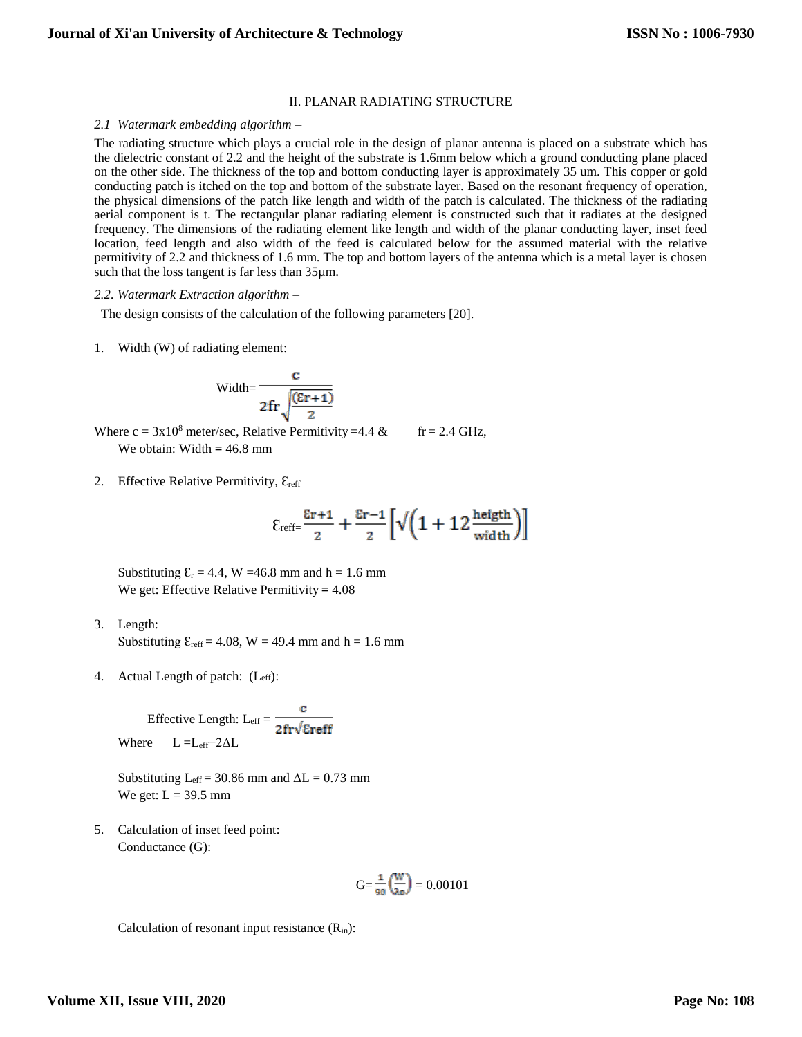## II. PLANAR RADIATING STRUCTURE

#### *2.1 Watermark embedding algorithm –*

The radiating structure which plays a crucial role in the design of planar antenna is placed on a substrate which has the dielectric constant of 2.2 and the height of the substrate is 1.6mm below which a ground conducting plane placed on the other side. The thickness of the top and bottom conducting layer is approximately 35 um. This copper or gold conducting patch is itched on the top and bottom of the substrate layer. Based on the resonant frequency of operation, the physical dimensions of the patch like length and width of the patch is calculated. The thickness of the radiating aerial component is t. The rectangular planar radiating element is constructed such that it radiates at the designed frequency. The dimensions of the radiating element like length and width of the planar conducting layer, inset feed location, feed length and also width of the feed is calculated below for the assumed material with the relative permitivity of 2.2 and thickness of 1.6 mm. The top and bottom layers of the antenna which is a metal layer is chosen such that the loss tangent is far less than  $35\mu$ m.

#### *2.2. Watermark Extraction algorithm –*

The design consists of the calculation of the following parameters [20].

1. Width (W) of radiating element:

$$
Width=\frac{c}{2fr\sqrt{\frac{(\epsilon r+1)}{2}}}
$$

Where  $c = 3x10^8$  meter/sec, Relative Permitivity =4.4 & fr = 2.4 GHz, We obtain: Width **=** 46.8 mm

2. Effective Relative Permitivity,  $\mathcal{E}_{reff}$ 

$$
\epsilon_{\text{reff} =} \tfrac{\epsilon_{r+1}}{2} + \tfrac{\epsilon_{r-1}}{2} \Big[ \sqrt{\Big(1+12 \tfrac{\text{height}}{\text{width}}\Big)} \Big]
$$

Substituting  $\mathcal{E}_r = 4.4$ , W =46.8 mm and h = 1.6 mm We get: Effective Relative Permitivity **=** 4.08

- 3. Length: Substituting  $\mathcal{E}_{reff} = 4.08$ , W = 49.4 mm and h = 1.6 mm
- 4. Actual Length of patch: (Leff):

Effective Length:  $L_{eff} = \frac{c}{2fr\sqrt{\text{Ereff}}}$ Where  $L = L_{eff} - 2\Delta L$ 

Substituting  $L_{eff}$  = 30.86 mm and  $\Delta L$  = 0.73 mm We get:  $L = 39.5$  mm

5. Calculation of inset feed point: Conductance (G):

$$
G{=}\frac{\text{1}}{\text{90}}\binom{W}{\lambda\text{o}}=0.00101
$$

Calculation of resonant input resistance  $(R_{in})$ :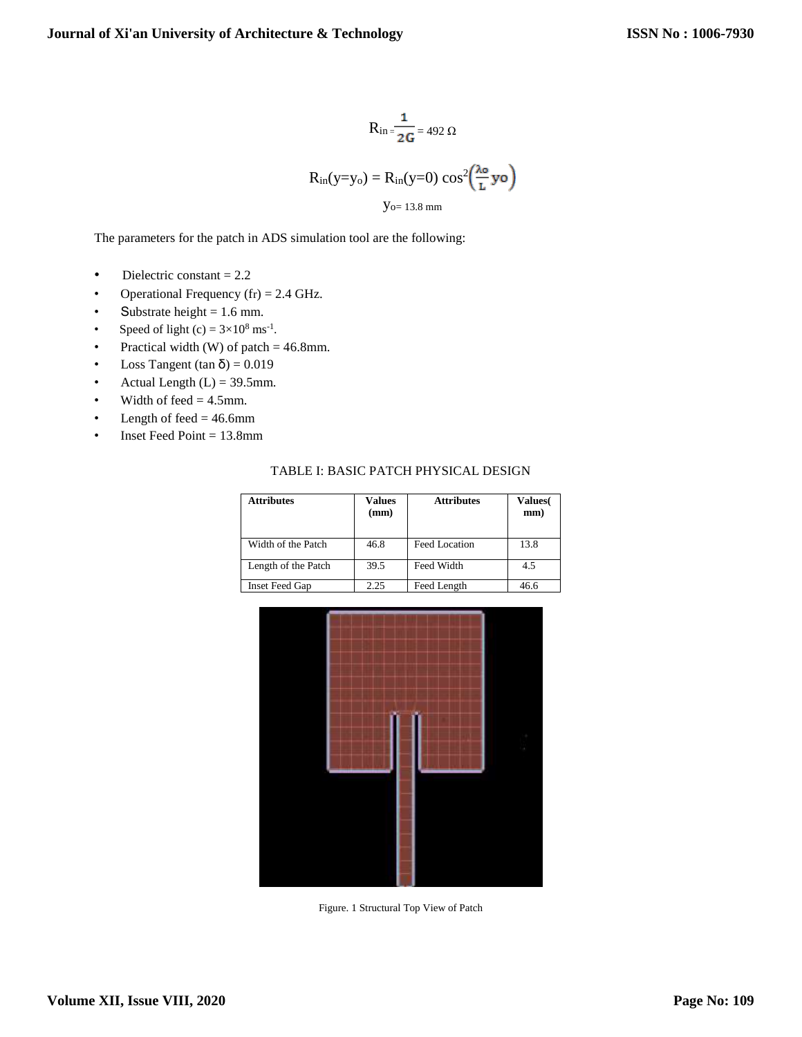$$
R_{in} = \frac{1}{2G} = 492 \Omega
$$
  

$$
R_{in}(y=y_0) = R_{in}(y=0) \cos^2\left(\frac{\lambda_0}{L} y \sigma\right)
$$
  

$$
y_{o=13.8 \text{ mm}}
$$

The parameters for the patch in ADS simulation tool are the following:

- Dielectric constant  $= 2.2$
- Operational Frequency  $(fr) = 2.4 \text{ GHz}.$
- Substrate height  $= 1.6$  mm.
- Speed of light (c) =  $3 \times 10^8$  ms<sup>-1</sup>.
- Practical width (W) of patch  $= 46.8$ mm.
- Loss Tangent (tan  $\delta$ ) = 0.019
- Actual Length  $(L) = 39.5$ mm.
- Width of feed  $= 4.5$ mm.
- Length of feed  $= 46.6$ mm
- Inset Feed Point = 13.8mm

| TABLE I: BASIC PATCH PHYSICAL DESIGN |  |  |  |
|--------------------------------------|--|--|--|
|--------------------------------------|--|--|--|

| <b>Attributes</b>     | Values<br>(mm) | <b>Attributes</b> | Values(<br>mm) |
|-----------------------|----------------|-------------------|----------------|
| Width of the Patch    | 46.8           | Feed Location     | 13.8           |
| Length of the Patch   | 39.5           | Feed Width        | 4.5            |
| <b>Inset Feed Gap</b> | 2.25           | Feed Length       | 46.6           |



Figure. 1 Structural Top View of Patch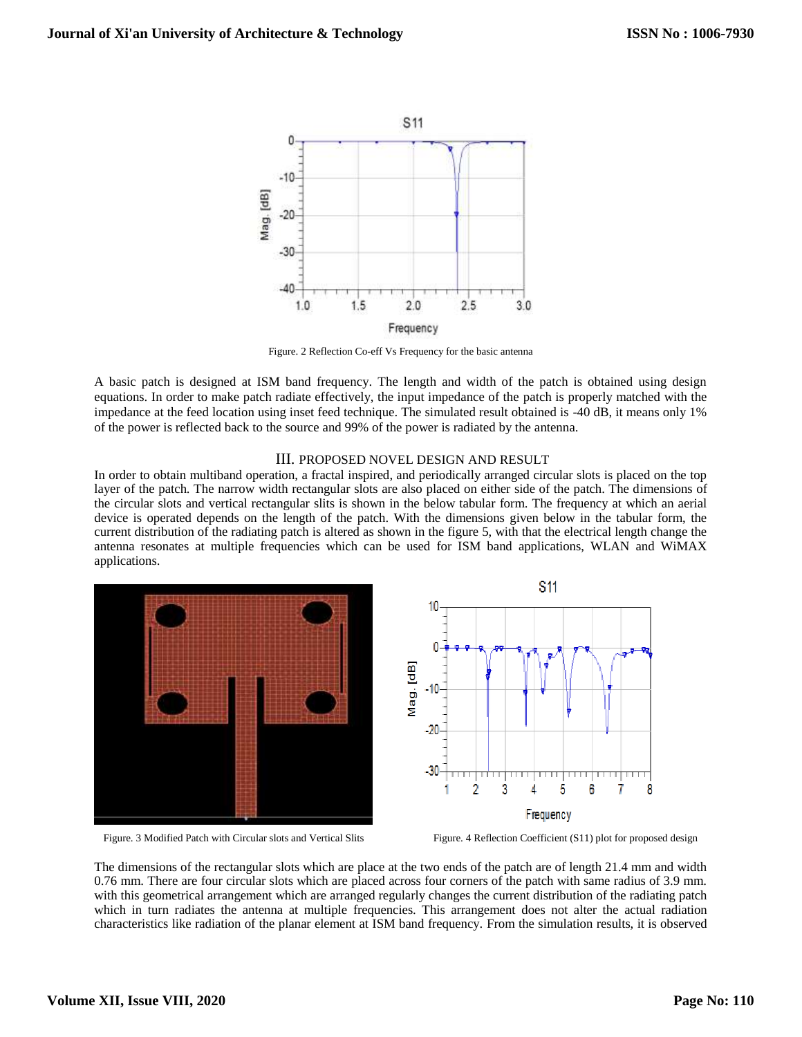

Figure. 2 Reflection Co-eff Vs Frequency for the basic antenna

A basic patch is designed at ISM band frequency. The length and width of the patch is obtained using design equations. In order to make patch radiate effectively, the input impedance of the patch is properly matched with the impedance at the feed location using inset feed technique. The simulated result obtained is -40 dB, it means only 1% of the power is reflected back to the source and 99% of the power is radiated by the antenna.

## III. PROPOSED NOVEL DESIGN AND RESULT

In order to obtain multiband operation, a fractal inspired, and periodically arranged circular slots is placed on the top layer of the patch. The narrow width rectangular slots are also placed on either side of the patch. The dimensions of the circular slots and vertical rectangular slits is shown in the below tabular form. The frequency at which an aerial device is operated depends on the length of the patch. With the dimensions given below in the tabular form, the current distribution of the radiating patch is altered as shown in the figure 5, with that the electrical length change the antenna resonates at multiple frequencies which can be used for ISM band applications, WLAN and WiMAX applications.



Figure. 3 Modified Patch with Circular slots and Vertical Slits Figure. 4 Reflection Coefficient (S11) plot for proposed design

The dimensions of the rectangular slots which are place at the two ends of the patch are of length 21.4 mm and width 0.76 mm. There are four circular slots which are placed across four corners of the patch with same radius of 3.9 mm. with this geometrical arrangement which are arranged regularly changes the current distribution of the radiating patch which in turn radiates the antenna at multiple frequencies. This arrangement does not alter the actual radiation characteristics like radiation of the planar element at ISM band frequency. From the simulation results, it is observed